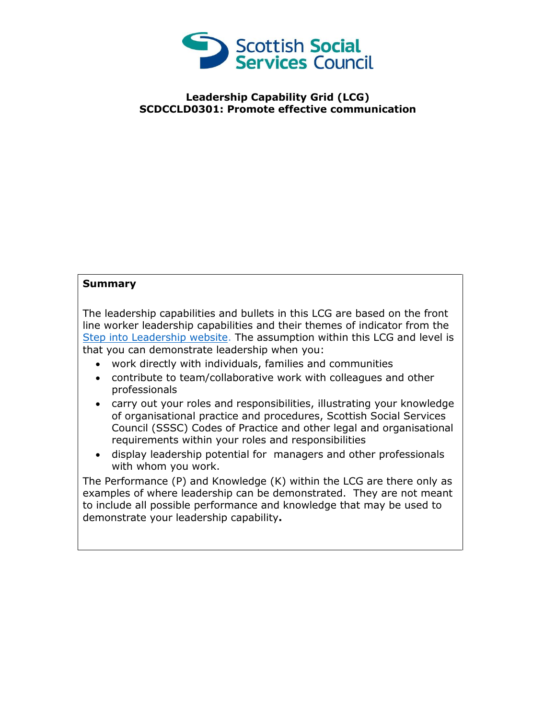

## **Leadership Capability Grid (LCG) SCDCCLD0301: Promote effective communication**

## **Summary**

The leadership capabilities and bullets in this LCG are based on the front line worker leadership capabilities and their themes of indicator from the [Step into Leadership website.](http://www.stepintoleadership.info/) The assumption within this LCG and level is that you can demonstrate leadership when you:

- work directly with individuals, families and communities
- contribute to team/collaborative work with colleagues and other professionals
- carry out your roles and responsibilities, illustrating your knowledge of organisational practice and procedures, Scottish Social Services Council (SSSC) Codes of Practice and other legal and organisational requirements within your roles and responsibilities
- display leadership potential for managers and other professionals with whom you work.

The Performance (P) and Knowledge (K) within the LCG are there only as examples of where leadership can be demonstrated. They are not meant to include all possible performance and knowledge that may be used to demonstrate your leadership capability**.**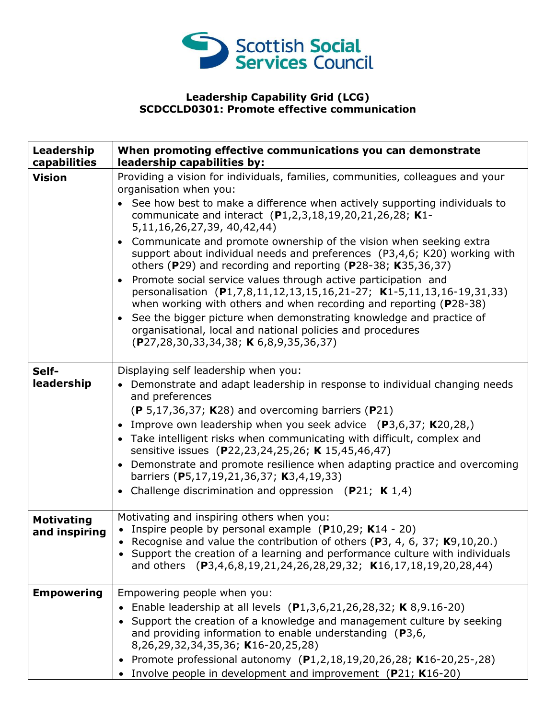

## **Leadership Capability Grid (LCG) SCDCCLD0301: Promote effective communication**

| Leadership<br>capabilities         | When promoting effective communications you can demonstrate<br>leadership capabilities by:                                                                                                                                                                                                                                                                                                                                                                                                                                                                                                                                                                                                                                                                                                                                                                                                                                           |
|------------------------------------|--------------------------------------------------------------------------------------------------------------------------------------------------------------------------------------------------------------------------------------------------------------------------------------------------------------------------------------------------------------------------------------------------------------------------------------------------------------------------------------------------------------------------------------------------------------------------------------------------------------------------------------------------------------------------------------------------------------------------------------------------------------------------------------------------------------------------------------------------------------------------------------------------------------------------------------|
| <b>Vision</b>                      | Providing a vision for individuals, families, communities, colleagues and your<br>organisation when you:<br>• See how best to make a difference when actively supporting individuals to<br>communicate and interact (P1,2,3,18,19,20,21,26,28; K1-<br>5,11,16,26,27,39, 40,42,44)<br>• Communicate and promote ownership of the vision when seeking extra<br>support about individual needs and preferences (P3,4,6; K20) working with<br>others (P29) and recording and reporting (P28-38; K35,36,37)<br>Promote social service values through active participation and<br>$\bullet$<br>personalisation (P1,7,8,11,12,13,15,16,21-27; K1-5,11,13,16-19,31,33)<br>when working with others and when recording and reporting ( $P28-38$ )<br>• See the bigger picture when demonstrating knowledge and practice of<br>organisational, local and national policies and procedures<br>$(P27, 28, 30, 33, 34, 38; K6, 8, 9, 35, 36, 37)$ |
| Self-<br>leadership                | Displaying self leadership when you:<br>• Demonstrate and adapt leadership in response to individual changing needs<br>and preferences<br>$(P 5, 17, 36, 37; K28)$ and overcoming barriers (P21)<br>• Improve own leadership when you seek advice $(P3, 6, 37; K20, 28)$<br>• Take intelligent risks when communicating with difficult, complex and<br>sensitive issues (P22,23,24,25,26; K 15,45,46,47)<br>• Demonstrate and promote resilience when adapting practice and overcoming<br>barriers (P5,17,19,21,36,37; K3,4,19,33)<br>• Challenge discrimination and oppression (P21; K $1,4$ )                                                                                                                                                                                                                                                                                                                                      |
| <b>Motivating</b><br>and inspiring | Motivating and inspiring others when you:<br>• Inspire people by personal example $(P10,29; K14 - 20)$<br>• Recognise and value the contribution of others (P3, 4, 6, 37; $K9,10,20$ .)<br>Support the creation of a learning and performance culture with individuals<br>and others (P3,4,6,8,19,21,24,26,28,29,32; K16,17,18,19,20,28,44)                                                                                                                                                                                                                                                                                                                                                                                                                                                                                                                                                                                          |
| <b>Empowering</b>                  | Empowering people when you:<br>Enable leadership at all levels (P1,3,6,21,26,28,32; K 8,9.16-20)<br>Support the creation of a knowledge and management culture by seeking<br>and providing information to enable understanding $(P3,6,$<br>8,26,29,32,34,35,36; K16-20,25,28)<br>• Promote professional autonomy (P1,2,18,19,20,26,28; K16-20,25-,28)<br>Involve people in development and improvement (P21; K16-20)                                                                                                                                                                                                                                                                                                                                                                                                                                                                                                                 |